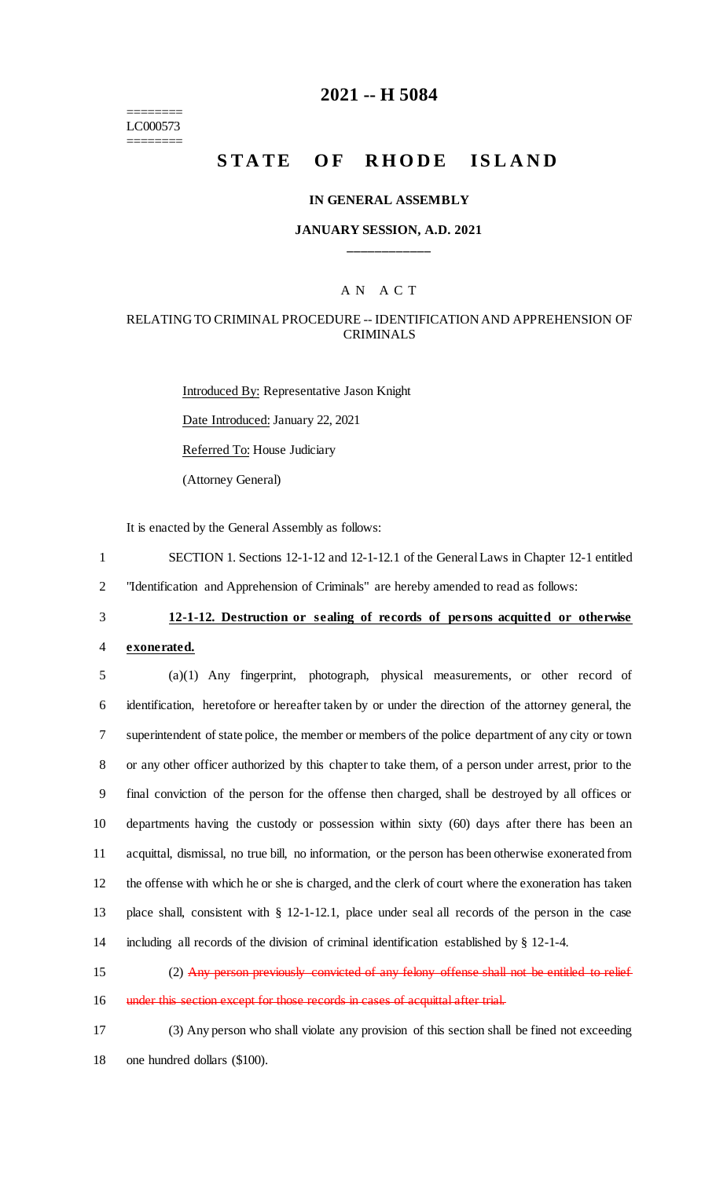======== LC000573 ========

# **2021 -- H 5084**

# **STATE OF RHODE ISLAND**

#### **IN GENERAL ASSEMBLY**

### **JANUARY SESSION, A.D. 2021 \_\_\_\_\_\_\_\_\_\_\_\_**

# A N A C T

### RELATING TO CRIMINAL PROCEDURE -- IDENTIFICATION AND APPREHENSION OF CRIMINALS

Introduced By: Representative Jason Knight Date Introduced: January 22, 2021 Referred To: House Judiciary (Attorney General)

It is enacted by the General Assembly as follows:

- 1 SECTION 1. Sections 12-1-12 and 12-1-12.1 of the General Laws in Chapter 12-1 entitled 2 "Identification and Apprehension of Criminals" are hereby amended to read as follows:
- 3 **12-1-12. Destruction or sealing of records of persons acquitted or otherwise**

# 4 **exonerated.**

 (a)(1) Any fingerprint, photograph, physical measurements, or other record of identification, heretofore or hereafter taken by or under the direction of the attorney general, the superintendent of state police, the member or members of the police department of any city or town or any other officer authorized by this chapter to take them, of a person under arrest, prior to the final conviction of the person for the offense then charged, shall be destroyed by all offices or departments having the custody or possession within sixty (60) days after there has been an acquittal, dismissal, no true bill, no information, or the person has been otherwise exonerated from the offense with which he or she is charged, and the clerk of court where the exoneration has taken place shall, consistent with § 12-1-12.1, place under seal all records of the person in the case including all records of the division of criminal identification established by § 12-1-4.

15 (2) Any person previously convicted of any felony offense shall not be entitled to relief 16 under this section except for those records in cases of acquittal after trial.

17 (3) Any person who shall violate any provision of this section shall be fined not exceeding 18 one hundred dollars (\$100).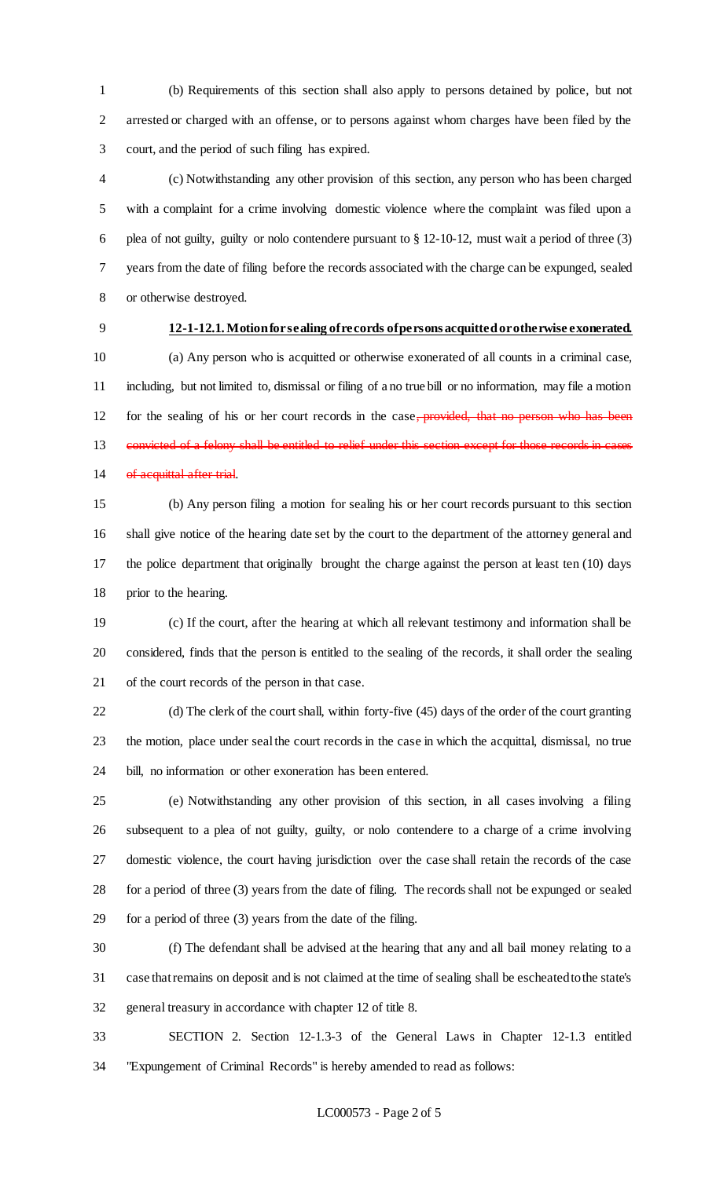(b) Requirements of this section shall also apply to persons detained by police, but not arrested or charged with an offense, or to persons against whom charges have been filed by the court, and the period of such filing has expired.

 (c) Notwithstanding any other provision of this section, any person who has been charged with a complaint for a crime involving domestic violence where the complaint was filed upon a plea of not guilty, guilty or nolo contendere pursuant to § 12-10-12, must wait a period of three (3) years from the date of filing before the records associated with the charge can be expunged, sealed or otherwise destroyed.

# **12-1-12.1. Motion for sealing of records of persons acquitted or otherwise exonerated.**

 (a) Any person who is acquitted or otherwise exonerated of all counts in a criminal case, including, but not limited to, dismissal or filing of a no true bill or no information, may file a motion 12 for the sealing of his or her court records in the case, provided, that no person who has been 13 convicted of a felony shall be entitled to relief under this section except for those records in cases 14 of acquittal after trial.

 (b) Any person filing a motion for sealing his or her court records pursuant to this section shall give notice of the hearing date set by the court to the department of the attorney general and the police department that originally brought the charge against the person at least ten (10) days prior to the hearing.

 (c) If the court, after the hearing at which all relevant testimony and information shall be considered, finds that the person is entitled to the sealing of the records, it shall order the sealing of the court records of the person in that case.

 (d) The clerk of the court shall, within forty-five (45) days of the order of the court granting the motion, place under seal the court records in the case in which the acquittal, dismissal, no true bill, no information or other exoneration has been entered.

 (e) Notwithstanding any other provision of this section, in all cases involving a filing subsequent to a plea of not guilty, guilty, or nolo contendere to a charge of a crime involving domestic violence, the court having jurisdiction over the case shall retain the records of the case for a period of three (3) years from the date of filing. The records shall not be expunged or sealed for a period of three (3) years from the date of the filing.

 (f) The defendant shall be advised at the hearing that any and all bail money relating to a case that remains on deposit and is not claimed at the time of sealing shall be escheated to the state's general treasury in accordance with chapter 12 of title 8.

 SECTION 2. Section 12-1.3-3 of the General Laws in Chapter 12-1.3 entitled "Expungement of Criminal Records" is hereby amended to read as follows: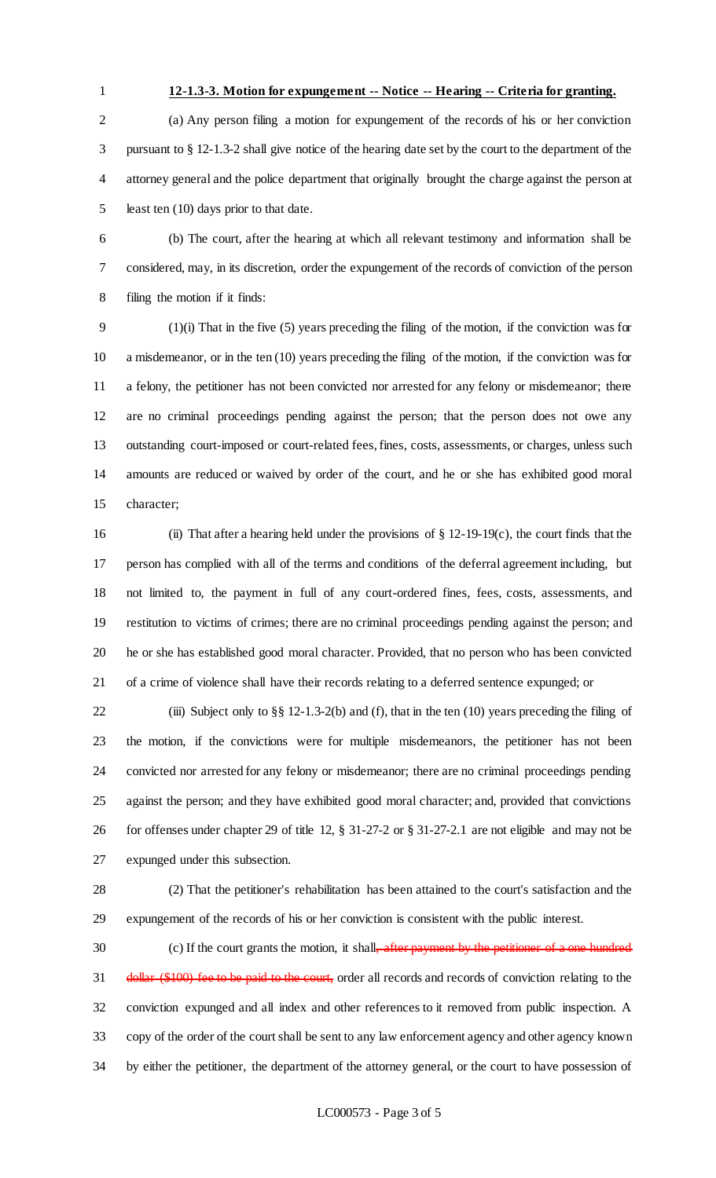#### **12-1.3-3. Motion for expungement -- Notice -- Hearing -- Criteria for granting.**

 (a) Any person filing a motion for expungement of the records of his or her conviction pursuant to § 12-1.3-2 shall give notice of the hearing date set by the court to the department of the attorney general and the police department that originally brought the charge against the person at least ten (10) days prior to that date.

 (b) The court, after the hearing at which all relevant testimony and information shall be considered, may, in its discretion, order the expungement of the records of conviction of the person filing the motion if it finds:

 (1)(i) That in the five (5) years preceding the filing of the motion, if the conviction was for a misdemeanor, or in the ten (10) years preceding the filing of the motion, if the conviction was for a felony, the petitioner has not been convicted nor arrested for any felony or misdemeanor; there are no criminal proceedings pending against the person; that the person does not owe any outstanding court-imposed or court-related fees, fines, costs, assessments, or charges, unless such amounts are reduced or waived by order of the court, and he or she has exhibited good moral character;

 (ii) That after a hearing held under the provisions of § 12-19-19(c), the court finds that the person has complied with all of the terms and conditions of the deferral agreement including, but not limited to, the payment in full of any court-ordered fines, fees, costs, assessments, and restitution to victims of crimes; there are no criminal proceedings pending against the person; and he or she has established good moral character. Provided, that no person who has been convicted of a crime of violence shall have their records relating to a deferred sentence expunged; or

 (iii) Subject only to §§ 12-1.3-2(b) and (f), that in the ten (10) years preceding the filing of the motion, if the convictions were for multiple misdemeanors, the petitioner has not been convicted nor arrested for any felony or misdemeanor; there are no criminal proceedings pending against the person; and they have exhibited good moral character; and, provided that convictions for offenses under chapter 29 of title 12, § 31-27-2 or § 31-27-2.1 are not eligible and may not be expunged under this subsection.

 (2) That the petitioner's rehabilitation has been attained to the court's satisfaction and the expungement of the records of his or her conviction is consistent with the public interest.

30 (c) If the court grants the motion, it shall<del>, after payment by the petitioner of a one hundred</del> 31 dollar (\$100) fee to be paid to the court, order all records and records of conviction relating to the conviction expunged and all index and other references to it removed from public inspection. A copy of the order of the court shall be sent to any law enforcement agency and other agency known by either the petitioner, the department of the attorney general, or the court to have possession of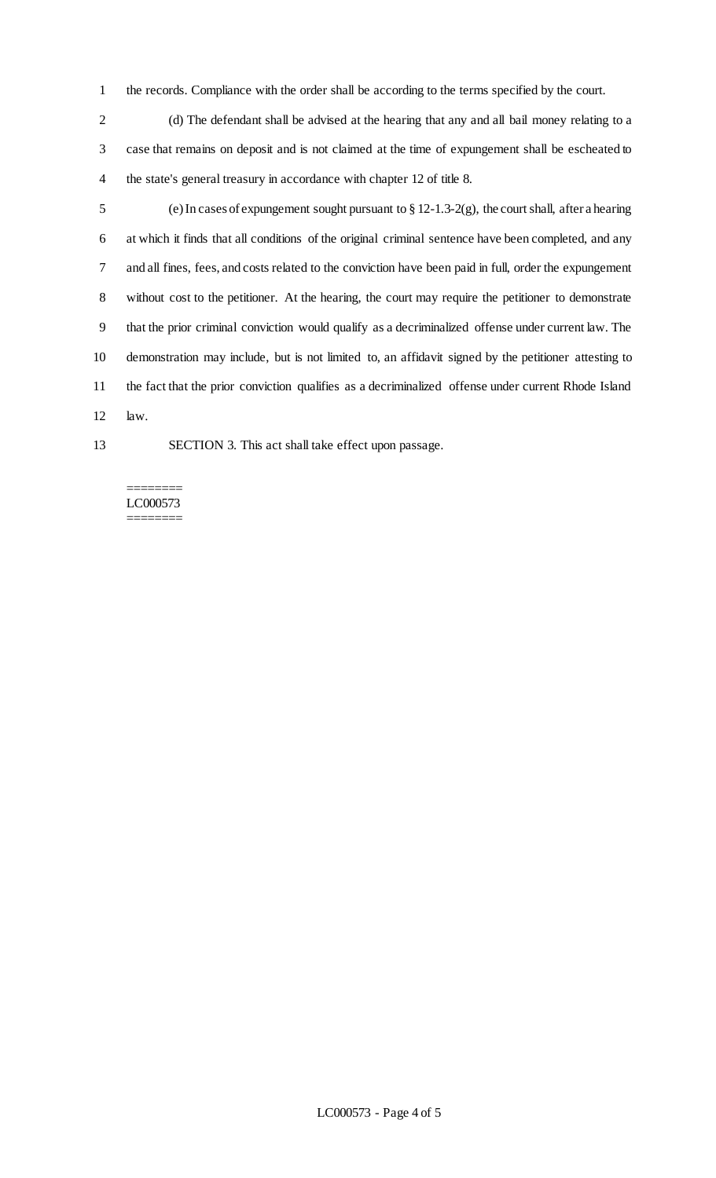- the records. Compliance with the order shall be according to the terms specified by the court.
- (d) The defendant shall be advised at the hearing that any and all bail money relating to a case that remains on deposit and is not claimed at the time of expungement shall be escheated to the state's general treasury in accordance with chapter 12 of title 8.
- (e) In cases of expungement sought pursuant to § 12-1.3-2(g), the court shall, after a hearing at which it finds that all conditions of the original criminal sentence have been completed, and any and all fines, fees, and costs related to the conviction have been paid in full, order the expungement without cost to the petitioner. At the hearing, the court may require the petitioner to demonstrate that the prior criminal conviction would qualify as a decriminalized offense under current law. The demonstration may include, but is not limited to, an affidavit signed by the petitioner attesting to the fact that the prior conviction qualifies as a decriminalized offense under current Rhode Island law.
- 
- SECTION 3. This act shall take effect upon passage.

#### ======== LC000573 ========